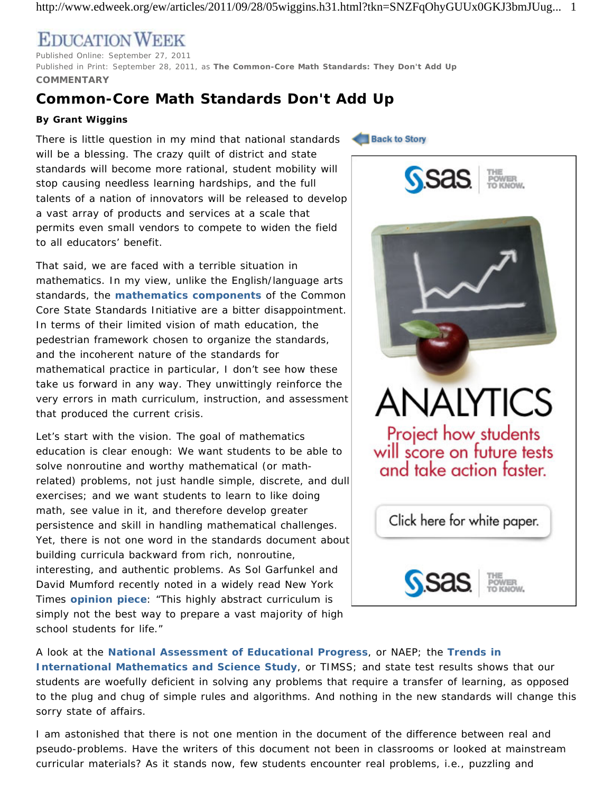http://www.edweek.org/ew/articles/2011/09/28/05wiggins.h31.html?tkn=SNZFqOhyGUUx0GKJ3bmJUug... 1

## **EDUCATION WEEK**

Published Online: September 27, 2011 Published in Print: September 28, 2011, as **The Common-Core Math Standards: They Don't Add Up COMMENTARY**

## **Common-Core Math Standards Don't Add Up**

## **By Grant Wiggins**

There is little question in my mind that national standards will be a blessing. The crazy quilt of district and state standards will become more rational, student mobility will stop causing needless learning hardships, and the full talents of a nation of innovators will be released to develop a vast array of products and services at a scale that permits even small vendors to compete to widen the field to all educators' benefit.

That said, we are faced with a terrible situation in mathematics. In my view, unlike the English/language arts standards, the **mathematics components** of the Common Core State Standards Initiative are a bitter disappointment. In terms of their limited vision of math education, the pedestrian framework chosen to organize the standards, and the incoherent nature of the standards for mathematical practice in particular, I don't see how these take us forward in any way. They unwittingly reinforce the very errors in math curriculum, instruction, and assessment that produced the current crisis.

Let's start with the vision. The goal of mathematics education is clear enough: We want students to be able to solve nonroutine and worthy mathematical (or mathrelated) problems, not just handle simple, discrete, and dull exercises; and we want students to learn to like doing math, see value in it, and therefore develop greater persistence and skill in handling mathematical challenges. Yet, there is not one word in the standards document about building curricula backward from rich, nonroutine, interesting, and authentic problems. As Sol Garfunkel and David Mumford recently noted in a widely read *New York Times* **opinion piece**: "This highly abstract curriculum is simply not the best way to prepare a vast majority of high school students for life."

**Back to Story** 



A look at the **National Assessment of Educational Progress**, or NAEP; the **Trends in International Mathematics and Science Study**, or TIMSS; and state test results shows that our students are woefully deficient in solving any problems that require a transfer of learning, as opposed to the plug and chug of simple rules and algorithms. And nothing in the new standards will change this sorry state of affairs.

I am astonished that there is not one mention in the document of the difference between real and pseudo-problems. Have the writers of this document not been in classrooms or looked at mainstream curricular materials? As it stands now, few students encounter real problems, i.e., puzzling and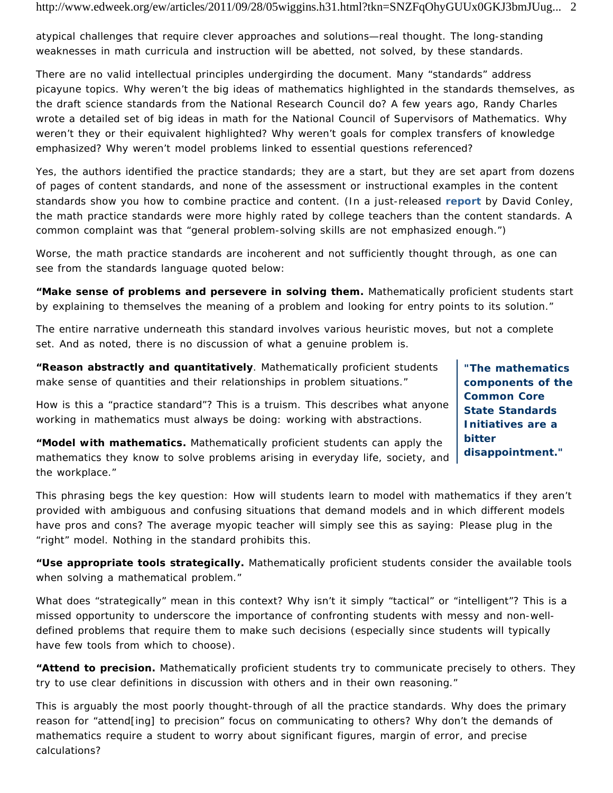atypical challenges that require clever approaches and solutions—real thought. The long-standing weaknesses in math curricula and instruction will be abetted, not solved, by these standards.

There are no valid intellectual principles undergirding the document. Many "standards" address picayune topics. Why weren't the big ideas of mathematics highlighted in the standards themselves, as the draft science standards from the National Research Council do? A few years ago, Randy Charles wrote a detailed set of big ideas in math for the National Council of Supervisors of Mathematics. Why weren't they or their equivalent highlighted? Why weren't goals for complex transfers of knowledge emphasized? Why weren't model problems linked to essential questions referenced?

Yes, the authors identified the practice standards; they are a start, but they are set apart from dozens of pages of content standards, and none of the assessment or instructional examples in the content standards show you how to combine practice and content. (In a just-released **report** by David Conley, the math practice standards were more highly rated by college teachers than the content standards. A common complaint was that "general problem-solving skills are not emphasized enough.")

Worse, the math practice standards are incoherent and not sufficiently thought through, as one can see from the standards language quoted below:

*"Make sense of problems and persevere in solving them. Mathematically proficient students start by explaining to themselves the meaning of a problem and looking for entry points to its solution."*

The entire narrative underneath this standard involves various heuristic moves, but not a complete set. And as noted, there is no discussion of what a genuine problem is.

*"Reason abstractly and quantitatively. Mathematically proficient students make sense of quantities and their relationships in problem situations."*

How is this a "practice standard"? This is a truism. This describes what anyone working in mathematics must always be doing: working with abstractions.

*"Model with mathematics. Mathematically proficient students can apply the mathematics they know to solve problems arising in everyday life, society, and the workplace."*

This phrasing begs the key question: How will students learn to model with mathematics if they aren't provided with ambiguous and confusing situations that demand models and in which different models have pros and cons? The average myopic teacher will simply see this as saying: Please plug in the "right" model. Nothing in the standard prohibits this.

*"Use appropriate tools strategically. Mathematically proficient students consider the available tools when solving a mathematical problem."*

What does "strategically" mean in this context? Why isn't it simply "tactical" or "intelligent"? This is a missed opportunity to underscore the importance of confronting students with messy and non-welldefined problems that require them to make such decisions (especially since students will typically have few tools from which to choose).

*"Attend to precision. Mathematically proficient students try to communicate precisely to others. They try to use clear definitions in discussion with others and in their own reasoning."*

This is arguably the most poorly thought-through of all the practice standards. Why does the primary reason for "attend[ing] to precision" focus on communicating to others? Why don't the demands of mathematics require a student to worry about significant figures, margin of error, and precise calculations?

**"The mathematics components of the Common Core State Standards Initiatives are a bitter disappointment."**